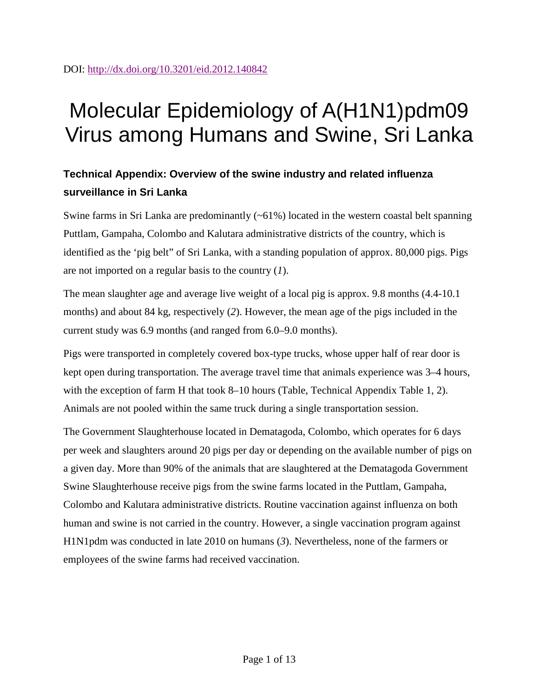# Molecular Epidemiology of A(H1N1)pdm09 Virus among Humans and Swine, Sri Lanka

# **Technical Appendix: Overview of the swine industry and related influenza surveillance in Sri Lanka**

Swine farms in Sri Lanka are predominantly  $(\sim 61\%)$  located in the western coastal belt spanning Puttlam, Gampaha, Colombo and Kalutara administrative districts of the country, which is identified as the 'pig belt" of Sri Lanka, with a standing population of approx. 80,000 pigs. Pigs are not imported on a regular basis to the country (*1*).

The mean slaughter age and average live weight of a local pig is approx. 9.8 months (4.4-10.1 months) and about 84 kg, respectively (*2*). However, the mean age of the pigs included in the current study was 6.9 months (and ranged from 6.0–9.0 months).

Pigs were transported in completely covered box-type trucks, whose upper half of rear door is kept open during transportation. The average travel time that animals experience was 3–4 hours, with the exception of farm H that took 8–10 hours (Table, Technical Appendix Table 1, 2). Animals are not pooled within the same truck during a single transportation session.

The Government Slaughterhouse located in Dematagoda, Colombo, which operates for 6 days per week and slaughters around 20 pigs per day or depending on the available number of pigs on a given day. More than 90% of the animals that are slaughtered at the Dematagoda Government Swine Slaughterhouse receive pigs from the swine farms located in the Puttlam, Gampaha, Colombo and Kalutara administrative districts. Routine vaccination against influenza on both human and swine is not carried in the country. However, a single vaccination program against H1N1pdm was conducted in late 2010 on humans (*3*). Nevertheless, none of the farmers or employees of the swine farms had received vaccination.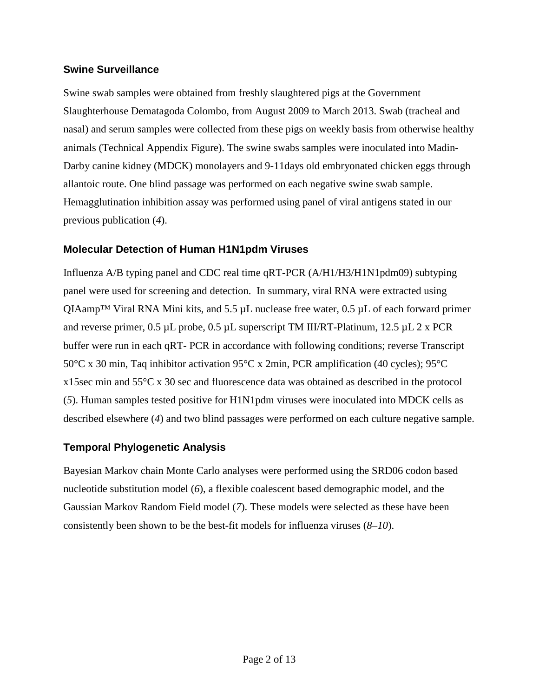### **Swine Surveillance**

Swine swab samples were obtained from freshly slaughtered pigs at the Government Slaughterhouse Dematagoda Colombo, from August 2009 to March 2013. Swab (tracheal and nasal) and serum samples were collected from these pigs on weekly basis from otherwise healthy animals (Technical Appendix Figure). The swine swabs samples were inoculated into Madin-Darby canine kidney (MDCK) monolayers and 9-11days old embryonated chicken eggs through allantoic route. One blind passage was performed on each negative swine swab sample. Hemagglutination inhibition assay was performed using panel of viral antigens stated in our previous publication (*4*).

## **Molecular Detection of Human H1N1pdm Viruses**

Influenza A/B typing panel and CDC real time qRT-PCR (A/H1/H3/H1N1pdm09) subtyping panel were used for screening and detection. In summary, viral RNA were extracted using QIAamp<sup>TM</sup> Viral RNA Mini kits, and 5.5  $\mu$ L nuclease free water, 0.5  $\mu$ L of each forward primer and reverse primer,  $0.5 \mu L$  probe,  $0.5 \mu L$  superscript TM III/RT-Platinum,  $12.5 \mu L 2x$  PCR buffer were run in each qRT- PCR in accordance with following conditions; reverse Transcript 50°C x 30 min, Taq inhibitor activation 95°C x 2min, PCR amplification (40 cycles); 95°C x15sec min and 55°C x 30 sec and fluorescence data was obtained as described in the protocol (*5*). Human samples tested positive for H1N1pdm viruses were inoculated into MDCK cells as described elsewhere (*4*) and two blind passages were performed on each culture negative sample.

## **Temporal Phylogenetic Analysis**

Bayesian Markov chain Monte Carlo analyses were performed using the SRD06 codon based nucleotide substitution model (*6*), a flexible coalescent based demographic model, and the Gaussian Markov Random Field model (*7*). These models were selected as these have been consistently been shown to be the best-fit models for influenza viruses (*8*–*10*).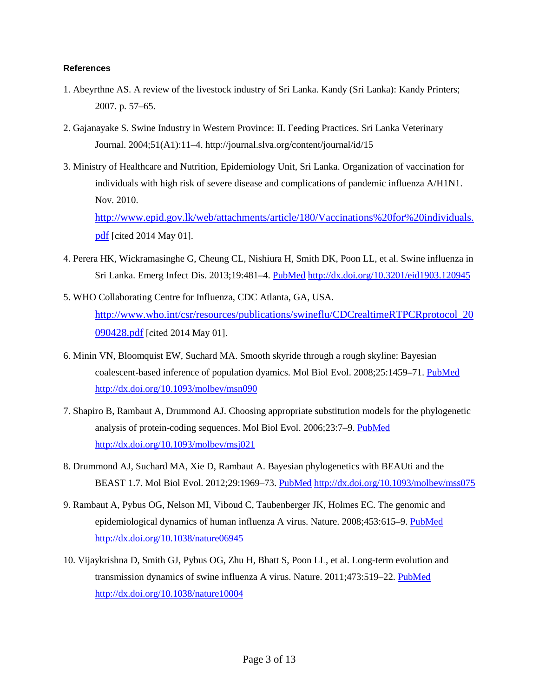#### **References**

- 1. Abeyrthne AS. A review of the livestock industry of Sri Lanka. Kandy (Sri Lanka): Kandy Printers; 2007. p. 57–65.
- 2. Gajanayake S. Swine Industry in Western Province: II. Feeding Practices. Sri Lanka Veterinary Journal. 2004;51(A1):11–4. http://journal.slva.org/content/journal/id/15
- 3. Ministry of Healthcare and Nutrition, Epidemiology Unit, Sri Lanka. Organization of vaccination for individuals with high risk of severe disease and complications of pandemic influenza A/H1N1. Nov. 2010. [http://www.epid.gov.lk/web/attachments/article/180/Vaccinations%20for%20individuals.](http://www.epid.gov.lk/web/attachments/article/180/Vaccinations%20for%20individuals.pdf)

[pdf](http://www.epid.gov.lk/web/attachments/article/180/Vaccinations%20for%20individuals.pdf) [cited 2014 May 01].

- 4. Perera HK, Wickramasinghe G, Cheung CL, Nishiura H, Smith DK, Poon LL, et al. Swine influenza in Sri Lanka. Emerg Infect Dis. 2013;19:481–4. [PubMed](http://www.ncbi.nlm.nih.gov/entrez/query.fcgi?cmd=Retrieve&db=PubMed&list_uids=23621918&dopt=Abstract) <http://dx.doi.org/10.3201/eid1903.120945>
- 5. WHO Collaborating Centre for Influenza, CDC Atlanta, GA, USA. [http://www.who.int/csr/resources/publications/swineflu/CDCrealtimeRTPCRprotocol\\_20](http://www.who.int/csr/resources/publications/swineflu/CDCrealtimeRTPCRprotocol_20090428.pdf) [090428.pdf](http://www.who.int/csr/resources/publications/swineflu/CDCrealtimeRTPCRprotocol_20090428.pdf) [cited 2014 May 01].
- 6. Minin VN, Bloomquist EW, Suchard MA. Smooth skyride through a rough skyline: Bayesian coalescent-based inference of population dyamics. Mol Biol Evol. 2008;25:1459–71. [PubMed](http://www.ncbi.nlm.nih.gov/entrez/query.fcgi?cmd=Retrieve&db=PubMed&list_uids=18408232&dopt=Abstract) <http://dx.doi.org/10.1093/molbev/msn090>
- 7. Shapiro B, Rambaut A, Drummond AJ. Choosing appropriate substitution models for the phylogenetic analysis of protein-coding sequences. Mol Biol Evol. 2006;23:7–9. [PubMed](http://www.ncbi.nlm.nih.gov/entrez/query.fcgi?cmd=Retrieve&db=PubMed&list_uids=16177232&dopt=Abstract) <http://dx.doi.org/10.1093/molbev/msj021>
- 8. Drummond AJ, Suchard MA, Xie D, Rambaut A. Bayesian phylogenetics with BEAUti and the BEAST 1.7. Mol Biol Evol. 2012;29:1969–73. [PubMed](http://www.ncbi.nlm.nih.gov/entrez/query.fcgi?cmd=Retrieve&db=PubMed&list_uids=22367748&dopt=Abstract) <http://dx.doi.org/10.1093/molbev/mss075>
- 9. Rambaut A, Pybus OG, Nelson MI, Viboud C, Taubenberger JK, Holmes EC. The genomic and epidemiological dynamics of human influenza A virus. Nature. 2008;453:615–9. [PubMed](http://www.ncbi.nlm.nih.gov/entrez/query.fcgi?cmd=Retrieve&db=PubMed&list_uids=18418375&dopt=Abstract) <http://dx.doi.org/10.1038/nature06945>
- 10. Vijaykrishna D, Smith GJ, Pybus OG, Zhu H, Bhatt S, Poon LL, et al. Long-term evolution and transmission dynamics of swine influenza A virus. Nature. 2011;473:519–22. [PubMed](http://www.ncbi.nlm.nih.gov/entrez/query.fcgi?cmd=Retrieve&db=PubMed&list_uids=21614079&dopt=Abstract) <http://dx.doi.org/10.1038/nature10004>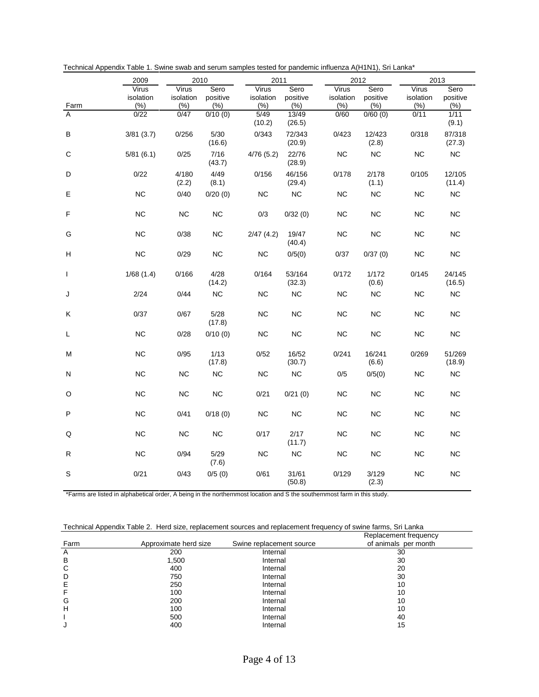|              | 2009                      | 2010                      |                         | 2011                      |                         | 2012                       |                             | 2013                       |                          |
|--------------|---------------------------|---------------------------|-------------------------|---------------------------|-------------------------|----------------------------|-----------------------------|----------------------------|--------------------------|
| Farm         | Virus<br>isolation<br>(%) | Virus<br>isolation<br>(%) | Sero<br>positive<br>(%) | Virus<br>isolation<br>(%) | Sero<br>positive<br>(%) | Virus<br>isolation<br>(% ) | Sero<br>positive<br>$(\% )$ | Virus<br>isolation<br>(% ) | Sero<br>positive<br>(% ) |
| A            | 0/22                      | 0/47                      | 0/10(0)                 | 5/49<br>(10.2)            | 13/49<br>(26.5)         | 0/60                       | $\sqrt{0/60}$ (0)           | 0/11                       | 1/11<br>(9.1)            |
| в            | 3/81(3.7)                 | 0/256                     | 5/30<br>(16.6)          | 0/343                     | 72/343<br>(20.9)        | 0/423                      | 12/423<br>(2.8)             | 0/318                      | 87/318<br>(27.3)         |
| C            | 5/81(6.1)                 | 0/25                      | 7/16<br>(43.7)          | 4/76(5.2)                 | 22/76<br>(28.9)         | <b>NC</b>                  | <b>NC</b>                   | <b>NC</b>                  | <b>NC</b>                |
| D            | 0/22                      | 4/180<br>(2.2)            | 4/49<br>(8.1)           | 0/156                     | 46/156<br>(29.4)        | 0/178                      | 2/178<br>(1.1)              | 0/105                      | 12/105<br>(11.4)         |
| E            | <b>NC</b>                 | 0/40                      | 0/20(0)                 | <b>NC</b>                 | <b>NC</b>               | <b>NC</b>                  | <b>NC</b>                   | <b>NC</b>                  | NC                       |
| F            | <b>NC</b>                 | <b>NC</b>                 | <b>NC</b>               | 0/3                       | 0/32(0)                 | <b>NC</b>                  | <b>NC</b>                   | <b>NC</b>                  | <b>NC</b>                |
| G            | <b>NC</b>                 | 0/38                      | <b>NC</b>               | 2/47(4.2)                 | 19/47<br>(40.4)         | <b>NC</b>                  | <b>NC</b>                   | <b>NC</b>                  | NC                       |
| н            | <b>NC</b>                 | 0/29                      | <b>NC</b>               | <b>NC</b>                 | 0/5(0)                  | 0/37                       | 0/37(0)                     | <b>NC</b>                  | <b>NC</b>                |
| $\mathbf{I}$ | 1/68(1.4)                 | 0/166                     | 4/28<br>(14.2)          | 0/164                     | 53/164<br>(32.3)        | 0/172                      | 1/172<br>(0.6)              | 0/145                      | 24/145<br>(16.5)         |
| J            | 2/24                      | 0/44                      | NC                      | <b>NC</b>                 | <b>NC</b>               | <b>NC</b>                  | <b>NC</b>                   | <b>NC</b>                  | <b>NC</b>                |
| Κ            | 0/37                      | 0/67                      | 5/28<br>(17.8)          | ΝC                        | NC                      | <b>NC</b>                  | ΝC                          | <b>NC</b>                  | <b>NC</b>                |
| L            | <b>NC</b>                 | 0/28                      | 0/10(0)                 | ΝC                        | <b>NC</b>               | <b>NC</b>                  | ΝC                          | <b>NC</b>                  | <b>NC</b>                |
| M            | <b>NC</b>                 | 0/95                      | 1/13<br>(17.8)          | 0/52                      | 16/52<br>(30.7)         | 0/241                      | 16/241<br>(6.6)             | 0/269                      | 51/269<br>(18.9)         |
| N            | ΝC                        | <b>NC</b>                 | <b>NC</b>               | NC                        | <b>NC</b>               | 0/5                        | 0/5(0)                      | <b>NC</b>                  | <b>NC</b>                |
| O            | <b>NC</b>                 | <b>NC</b>                 | <b>NC</b>               | 0/21                      | 0/21(0)                 | <b>NC</b>                  | <b>NC</b>                   | <b>NC</b>                  | <b>NC</b>                |
| P            | <b>NC</b>                 | 0/41                      | 0/18(0)                 | ΝC                        | <b>NC</b>               | <b>NC</b>                  | <b>NC</b>                   | <b>NC</b>                  | <b>NC</b>                |
| Q            | <b>NC</b>                 | <b>NC</b>                 | <b>NC</b>               | 0/17                      | 2/17<br>(11.7)          | <b>NC</b>                  | <b>NC</b>                   | <b>NC</b>                  | <b>NC</b>                |
| R            | <b>NC</b>                 | 0/94                      | 5/29<br>(7.6)           | <b>NC</b>                 | <b>NC</b>               | <b>NC</b>                  | <b>NC</b>                   | <b>NC</b>                  | <b>NC</b>                |
| S            | 0/21                      | 0/43                      | 0/5(0)                  | 0/61                      | 31/61<br>(50.8)         | 0/129                      | 3/129<br>(2.3)              | <b>NC</b>                  | <b>NC</b>                |

Technical Appendix Table 1. Swine swab and serum samples tested for pandemic influenza A(H1N1), Sri Lanka\*

\*Farms are listed in alphabetical order, A being in the northernmost location and S the southernmost farm in this study.

| Technical Appendix Table 2. Herd size, replacement sources and replacement frequency of swine farms. Sri Lanka |
|----------------------------------------------------------------------------------------------------------------|
|----------------------------------------------------------------------------------------------------------------|

|      |                       |                          | Replacement frequency |
|------|-----------------------|--------------------------|-----------------------|
| Farm | Approximate herd size | Swine replacement source | of animals per month  |
| A    | 200                   | Internal                 | 30                    |
| B    | 1,500                 | Internal                 | 30                    |
| C    | 400                   | Internal                 | 20                    |
| D    | 750                   | Internal                 | 30                    |
|      | 250                   | Internal                 | 10                    |
|      | 100                   | Internal                 | 10                    |
| G    | 200                   | Internal                 | 10                    |
| н    | 100                   | Internal                 | 10                    |
|      | 500                   | Internal                 | 40                    |
| J    | 400                   | Internal                 | 15                    |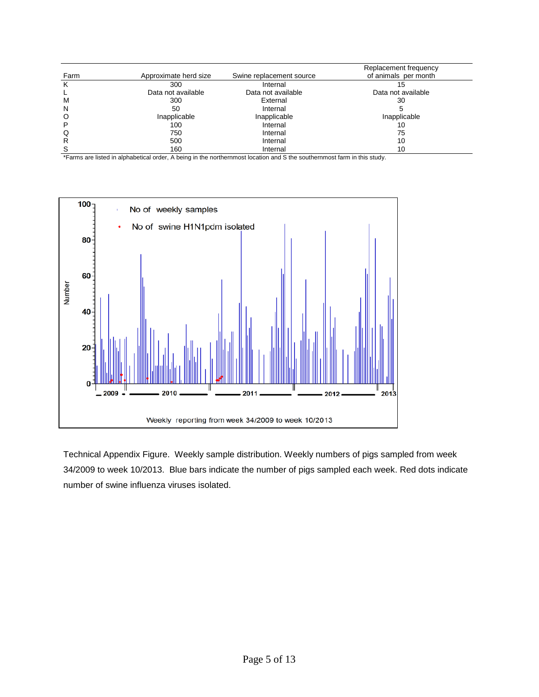|      |                       |                          | Replacement frequency |
|------|-----------------------|--------------------------|-----------------------|
| Farm | Approximate herd size | Swine replacement source | of animals per month  |
|      | 300                   | Internal                 | 15                    |
|      | Data not available    | Data not available       | Data not available    |
| м    | 300                   | External                 | 30                    |
| N    | 50                    | Internal                 |                       |
| O    | Inapplicable          | Inapplicable             | Inapplicable          |
| P    | 100                   | Internal                 | 10                    |
| Q    | 750                   | Internal                 | 75                    |
| R    | 500                   | Internal                 | 10                    |
|      | 160                   | Internal                 | 10                    |

\*Farms are listed in alphabetical order, A being in the northernmost location and S the southernmost farm in this study.



Technical Appendix Figure. Weekly sample distribution. Weekly numbers of pigs sampled from week 34/2009 to week 10/2013. Blue bars indicate the number of pigs sampled each week. Red dots indicate number of swine influenza viruses isolated.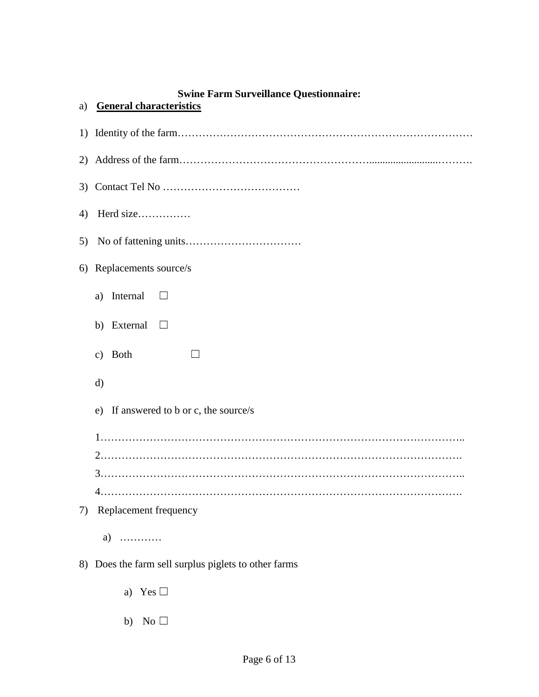# **Swine Farm Surveillance Questionnaire:**

| a) | <b>General characteristics</b>                       |
|----|------------------------------------------------------|
|    |                                                      |
|    |                                                      |
|    |                                                      |
| 4) | Herd size                                            |
| 5) |                                                      |
|    | 6) Replacements source/s                             |
|    | Internal<br>a)                                       |
|    | b) External<br>⊔                                     |
|    | <b>Both</b><br>$\mathbf{c})$                         |
|    | d)                                                   |
|    | If answered to b or c, the source/s<br>e)            |
|    |                                                      |
|    |                                                      |
|    |                                                      |
|    |                                                      |
| 7) | Replacement frequency                                |
|    | $a)$                                                 |
|    | 8) Does the farm sell surplus piglets to other farms |
|    | a) Yes $\Box$                                        |

b) No  $\Box$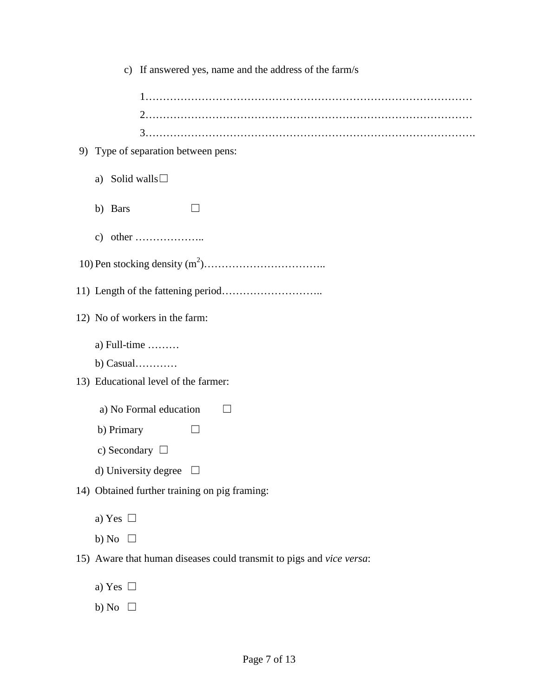|    |                                | c) If answered yes, name and the address of the farm/s               |
|----|--------------------------------|----------------------------------------------------------------------|
|    |                                |                                                                      |
|    |                                |                                                                      |
|    |                                |                                                                      |
| 9) |                                | Type of separation between pens:                                     |
|    | Solid walls $\square$<br>a)    |                                                                      |
|    | b) Bars                        |                                                                      |
|    |                                | c) other $\dots\dots\dots\dots\dots\dots$                            |
|    |                                |                                                                      |
|    |                                |                                                                      |
|    |                                | 12) No of workers in the farm:                                       |
|    | a) Full-time $\dots\dots\dots$ |                                                                      |
|    | $b)$ Casual                    |                                                                      |
|    |                                | 13) Educational level of the farmer:                                 |
|    |                                | a) No Formal education<br>$\perp$                                    |
|    | b) Primary                     |                                                                      |
|    | c) Secondary $\Box$            |                                                                      |
|    |                                | d) University degree $\Box$                                          |
|    |                                | 14) Obtained further training on pig framing:                        |
|    | a) Yes $\Box$                  |                                                                      |
|    | b) No $\Box$                   |                                                                      |
|    |                                | 15) Aware that human diseases could transmit to pigs and vice versa: |
|    | a) Yes $\Box$                  |                                                                      |
|    | b) No $\Box$                   |                                                                      |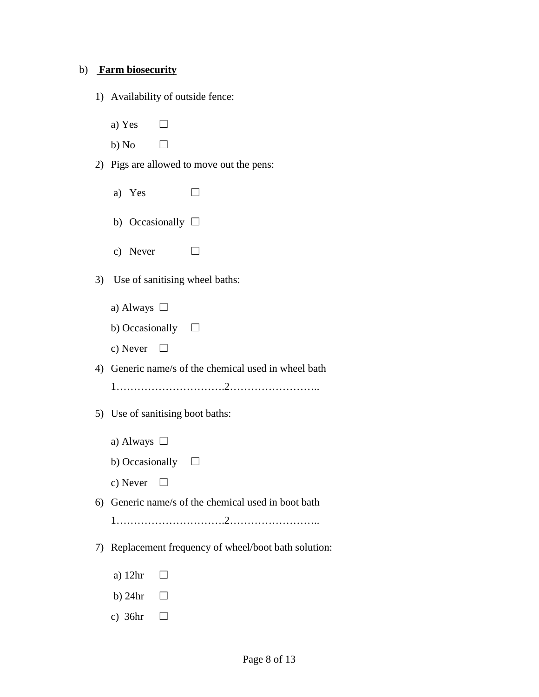#### b) **Farm biosecurity**

1) Availability of outside fence:

a) Yes  $\Box$ 

b) No  $\Box$ 

- 2) Pigs are allowed to move out the pens:
	- a) Yes  $\Box$
	- b) Occasionally  $\square$
	- c) Never  $\Box$
- 3) Use of sanitising wheel baths:
	- a) Always □
	- b) Occasionally  $□$
	- c) Never  $\Box$
- 4) Generic name/s of the chemical used in wheel bath
	- 1………………………….2……………………..
- 5) Use of sanitising boot baths:
	- a) Always  $\Box$
	- b) Occasionally  $□$
	- c) Never  $\Box$
- 6) Generic name/s of the chemical used in boot bath
	- 1………………………….2……………………..
- 7) Replacement frequency of wheel/boot bath solution:
	- a)  $12hr$   $\Box$
	- b) 24hr  $\Box$
	- c)  $36hr$   $\Box$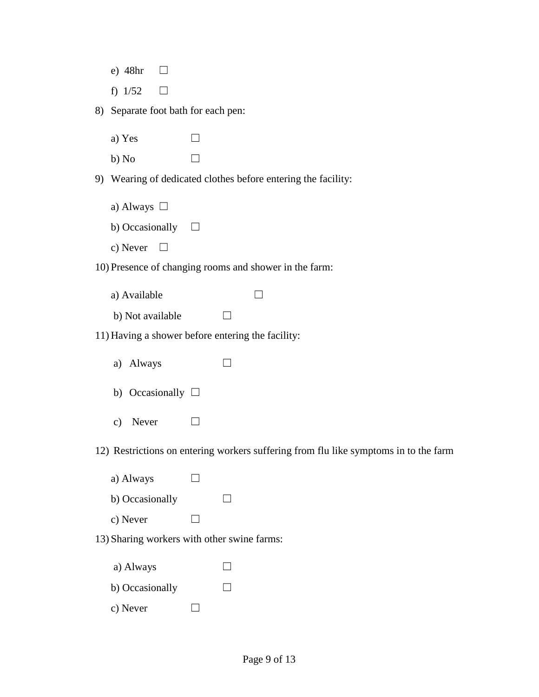|  | 48hr |  |
|--|------|--|
|--|------|--|

f)  $1/52$   $\Box$ 

8) Separate foot bath for each pen:

- a) Yes  $\Box$
- b) No  $\Box$

9) Wearing of dedicated clothes before entering the facility:

- a) Always □
- b) Occasionally  $□$
- c) Never  $\Box$

10) Presence of changing rooms and shower in the farm:

- a) Available  $\Box$
- b) Not available  $\Box$

11) Having a shower before entering the facility:

- a) Always  $\Box$
- b) Occasionally  $\square$
- c) Never  $\Box$

12) Restrictions on entering workers suffering from flu like symptoms in to the farm

- a) Always  $\Box$ b) Occasionally  $\Box$
- c) Never  $\Box$

13) Sharing workers with other swine farms:

- a) Always  $\Box$
- b) Occasionally  $\Box$
- c) Never  $\Box$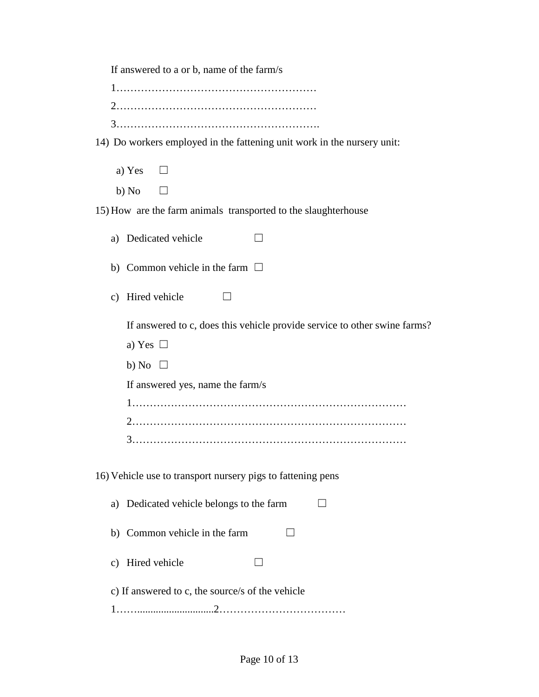If answered to a or b, name of the farm/s

14) Do workers employed in the fattening unit work in the nursery unit:

| a) Yes | $\Box$ |
|--------|--------|
| b) No  | $\Box$ |

15) How are the farm animals transported to the slaughterhouse

|  | a) Dedicated vehicle |  |  |  |
|--|----------------------|--|--|--|
|--|----------------------|--|--|--|

b) Common vehicle in the farm  $\Box$ 

|  |  | c) Hired vehicle |  |  |
|--|--|------------------|--|--|
|--|--|------------------|--|--|

If answered to c, does this vehicle provide service to other swine farms?

|--|--|

b) No  $\Box$ 

If answered yes, name the farm/s

1…………………………………………………………………… 2…………………………………………………………………… 3……………………………………………………………………

16) Vehicle use to transport nursery pigs to fattening pens

| a) Dedicated vehicle belongs to the farm         |  |
|--------------------------------------------------|--|
| b) Common vehicle in the farm                    |  |
| c) Hired vehicle                                 |  |
| c) If answered to c, the source/s of the vehicle |  |
|                                                  |  |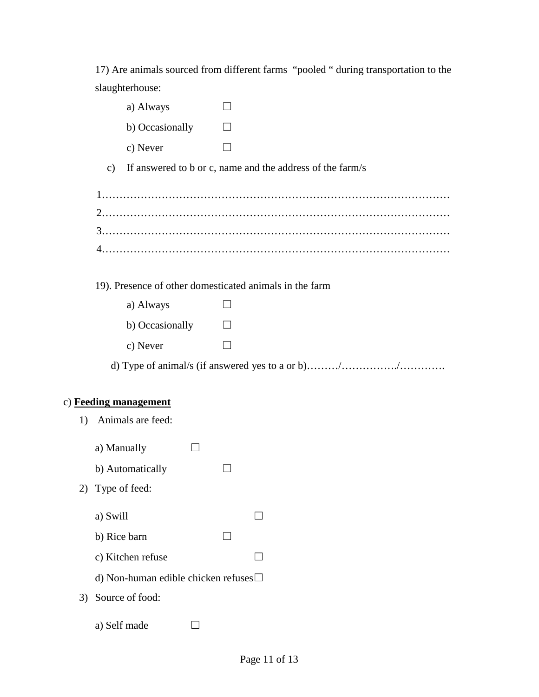17) Are animals sourced from different farms "pooled " during transportation to the slaughterhouse:

|                       | a) Always         |                                                           |
|-----------------------|-------------------|-----------------------------------------------------------|
|                       | b) Occasionally   |                                                           |
|                       | c) Never          |                                                           |
| $\mathbf{c})$         |                   | If answered to b or c, name and the address of the farm/s |
|                       |                   |                                                           |
|                       |                   |                                                           |
|                       |                   |                                                           |
|                       |                   |                                                           |
|                       |                   |                                                           |
|                       |                   | 19). Presence of other domesticated animals in the farm   |
|                       | a) Always         |                                                           |
|                       | b) Occasionally   |                                                           |
|                       | c) Never          |                                                           |
|                       |                   |                                                           |
|                       |                   |                                                           |
| c) Feeding management |                   |                                                           |
| 1)                    | Animals are feed: |                                                           |
| a) Manually           |                   |                                                           |
|                       | b) Automatically  |                                                           |

- 2) Type of feed:
	- a) Swill  $\Box$
	- b) Rice barn  $\Box$
	- c) Kitchen refuse  $\Box$
	- d) Non-human edible chicken refuses☐
- 3) Source of food:
	- a) Self made  $\Box$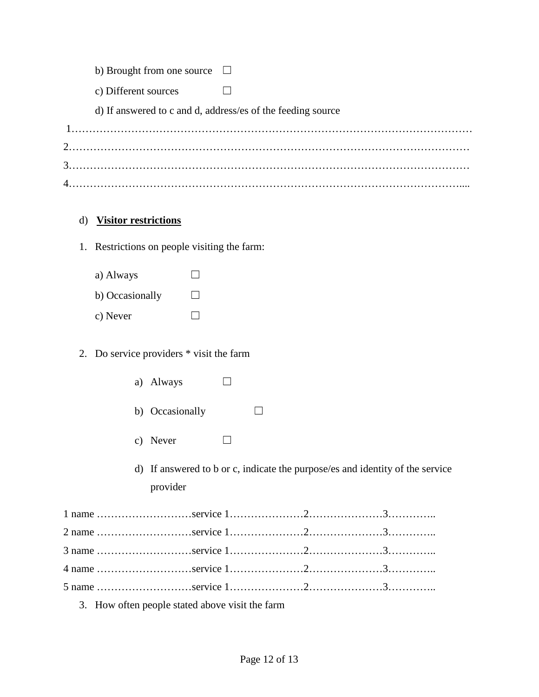| b) Brought from one source<br>$\Box$ |
|--------------------------------------|
|--------------------------------------|

c) Different sources  $□$ 

d) If answered to c and d, address/es of the feeding source

# d) **Visitor restrictions**

- 1. Restrictions on people visiting the farm:
	- a) Always  $\Box$ b) Occasionally  $\Box$ c) Never  $\Box$

# 2. Do service providers \* visit the farm

| a) | Always |  |
|----|--------|--|
|    |        |  |

- b) Occasionally  $\Box$
- c) Never  $\Box$
- d) If answered to b or c, indicate the purpose/es and identity of the service provider

3. How often people stated above visit the farm